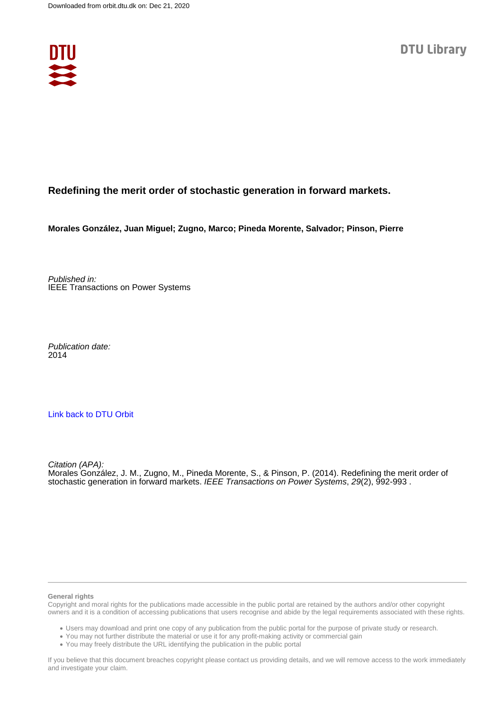

# **Redefining the merit order of stochastic generation in forward markets.**

**Morales González, Juan Miguel; Zugno, Marco; Pineda Morente, Salvador; Pinson, Pierre**

Published in: IEEE Transactions on Power Systems

Publication date: 2014

## [Link back to DTU Orbit](https://orbit.dtu.dk/en/publications/01d4ee2b-734c-411c-ad4d-b1a77c716221)

Citation (APA): Morales González, J. M., Zugno, M., Pineda Morente, S., & Pinson, P. (2014). Redefining the merit order of stochastic generation in forward markets. IEEE Transactions on Power Systems, 29(2), 992-993.

#### **General rights**

Copyright and moral rights for the publications made accessible in the public portal are retained by the authors and/or other copyright owners and it is a condition of accessing publications that users recognise and abide by the legal requirements associated with these rights.

Users may download and print one copy of any publication from the public portal for the purpose of private study or research.

- You may not further distribute the material or use it for any profit-making activity or commercial gain
- You may freely distribute the URL identifying the publication in the public portal

If you believe that this document breaches copyright please contact us providing details, and we will remove access to the work immediately and investigate your claim.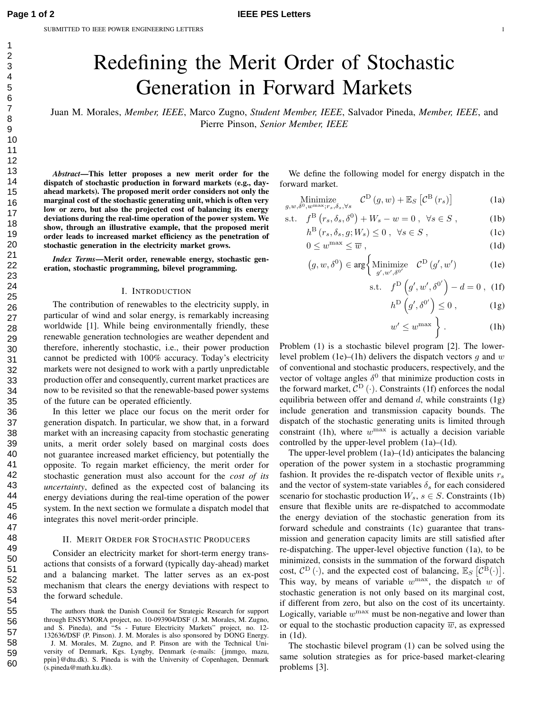# Redefining the Merit Order of Stochastic Generation in Forward Markets

Juan M. Morales, *Member, IEEE*, Marco Zugno, *Student Member, IEEE*, Salvador Pineda, *Member, IEEE*, and Pierre Pinson, *Senior Member, IEEE*

*Abstract***—This letter proposes a new merit order for the dispatch of stochastic production in forward markets (e.g., dayahead markets). The proposed merit order considers not only the marginal cost of the stochastic generating unit, which is often very low or zero, but also the projected cost of balancing its energy deviations during the real-time operation of the power system. We show, through an illustrative example, that the proposed merit order leads to increased market efficiency as the penetration of stochastic generation in the electricity market grows.**

*Index Terms***—Merit order, renewable energy, stochastic generation, stochastic programming, bilevel programming.**

## I. INTRODUCTION

The contribution of renewables to the electricity supply, in particular of wind and solar energy, is remarkably increasing worldwide [1]. While being environmentally friendly, these renewable generation technologies are weather dependent and therefore, inherently stochastic, i.e., their power production cannot be predicted with 100% accuracy. Today's electricity markets were not designed to work with a partly unpredictable production offer and consequently, current market practices are now to be revisited so that the renewable-based power systems of the future can be operated efficiently.

In this letter we place our focus on the merit order for generation dispatch. In particular, we show that, in a forward market with an increasing capacity from stochastic generating units, a merit order solely based on marginal costs does not guarantee increased market efficiency, but potentially the opposite. To regain market efficiency, the merit order for stochastic generation must also account for the *cost of its uncertainty*, defined as the expected cost of balancing its energy deviations during the real-time operation of the power system. In the next section we formulate a dispatch model that integrates this novel merit-order principle.

#### II. MERIT ORDER FOR STOCHASTIC PRODUCERS

Consider an electricity market for short-term energy transactions that consists of a forward (typically day-ahead) market and a balancing market. The latter serves as an ex-post mechanism that clears the energy deviations with respect to the forward schedule.

We define the following model for energy dispatch in the forward market.

Minimize  

$$
_{g,w,\delta^0,w^{\max};r_s,\delta_s,\forall s}
$$
  $\mathcal{C}^{\mathcal{D}}(g,w) + \mathbb{E}_S\left[\mathcal{C}^{\mathcal{B}}(r_s)\right]$  (1a)

$$
\text{s.t.} \quad f^{\text{B}}\left(r_s, \delta_s, \delta^0\right) + W_s - w = 0 \; , \; \forall s \in S \; , \tag{1b}
$$

$$
h^{\mathcal{B}}\left(r_{s}, \delta_{s}, g; W_{s}\right) \leq 0 \ , \ \forall s \in S \ , \tag{1c}
$$

$$
0 \le w^{\max} \le \overline{w} \tag{1d}
$$

$$
(g, w, \delta^{0}) \in \arg \left\{ \underset{g', w', \delta^{0'}}{\text{Minimize}} \quad \mathcal{C}^{\text{D}}\left(g', w'\right) \right\}
$$
 (1e)

$$
\text{s.t.} \quad f^{\text{D}}\left(g', w', \delta^{0'}\right) - d = 0 \tag{1f}
$$

$$
h^{\mathcal{D}}\left(g',\delta^{0'}\right) \leq 0\;, \tag{1g}
$$

$$
w' \le w^{\max} \t{}
$$
 (1h)

Problem (1) is a stochastic bilevel program [2]. The lowerlevel problem (1e)–(1h) delivers the dispatch vectors q and  $w$ of conventional and stochastic producers, respectively, and the vector of voltage angles  $\delta^0$  that minimize production costs in the forward market,  $C^{D}(\cdot)$ . Constraints (1f) enforces the nodal equilibria between offer and demand  $d$ , while constraints  $(1g)$ include generation and transmission capacity bounds. The dispatch of the stochastic generating units is limited through constraint (1h), where  $w^{\text{max}}$  is actually a decision variable controlled by the upper-level problem (1a)–(1d).

The upper-level problem (1a)–(1d) anticipates the balancing operation of the power system in a stochastic programming fashion. It provides the re-dispatch vector of flexible units  $r<sub>s</sub>$ and the vector of system-state variables  $\delta_s$  for each considered scenario for stochastic production  $W_s$ ,  $s \in S$ . Constraints (1b) ensure that flexible units are re-dispatched to accommodate the energy deviation of the stochastic generation from its forward schedule and constraints (1c) guarantee that transmission and generation capacity limits are still satisfied after re-dispatching. The upper-level objective function (1a), to be minimized, consists in the summation of the forward dispatch cost,  $C^{D}(\cdot)$ , and the expected cost of balancing,  $\mathbb{E}_{S} [C^{\overline{B}}(\cdot)].$ This way, by means of variable  $w^{\max}$ , the dispatch w of stochastic generation is not only based on its marginal cost, if different from zero, but also on the cost of its uncertainty. Logically, variable  $w^{\text{max}}$  must be non-negative and lower than or equal to the stochastic production capacity  $\overline{w}$ , as expressed in (1d).

The stochastic bilevel program (1) can be solved using the same solution strategies as for price-based market-clearing problems [3].

The authors thank the Danish Council for Strategic Research for support through ENSYMORA project, no. 10-093904/DSF (J. M. Morales, M. Zugno, and S. Pineda), and "5s - Future Electricity Markets" project, no. 12- 132636/DSF (P. Pinson). J. M. Morales is also sponsored by DONG Energy.

J. M. Morales, M. Zugno, and P. Pinson are with the Technical University of Denmark, Kgs. Lyngby, Denmark (e-mails: {jmmgo, mazu, ppin}@dtu.dk). S. Pineda is with the University of Copenhagen, Denmark (s.pineda@math.ku.dk).